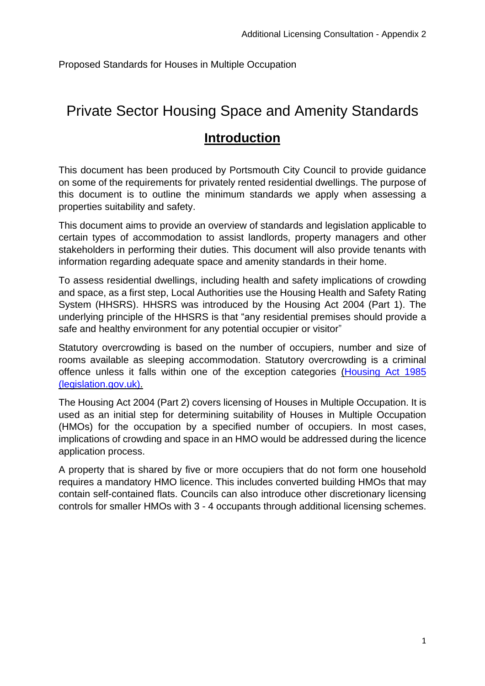Proposed Standards for Houses in Multiple Occupation

# <span id="page-0-0"></span>Private Sector Housing Space and Amenity Standards

# **Introduction**

This document has been produced by Portsmouth City Council to provide guidance on some of the requirements for privately rented residential dwellings. The purpose of this document is to outline the minimum standards we apply when assessing a properties suitability and safety.

This document aims to provide an overview of standards and legislation applicable to certain types of accommodation to assist landlords, property managers and other stakeholders in performing their duties. This document will also provide tenants with information regarding adequate space and amenity standards in their home.

To assess residential dwellings, including health and safety implications of crowding and space, as a first step, Local Authorities use the Housing Health and Safety Rating System (HHSRS). HHSRS was introduced by the Housing Act 2004 (Part 1). The underlying principle of the HHSRS is that "any residential premises should provide a safe and healthy environment for any potential occupier or visitor"

Statutory overcrowding is based on the number of occupiers, number and size of rooms available as sleeping accommodation. Statutory overcrowding is a criminal offence unless it falls within one of the exception categories [\(Housing](https://www.legislation.gov.uk/ukpga/1985/68/part/X/crossheading/definition-of-overcrowding#:~:text=(1)The%20space%20standard%20is,dwelling%20available%20as%20sleeping%20accommodation.) Act 1985 [\(legislation.gov.uk\).](https://www.legislation.gov.uk/ukpga/1985/68/part/X/crossheading/definition-of-overcrowding#:~:text=(1)The%20space%20standard%20is,dwelling%20available%20as%20sleeping%20accommodation.)

The Housing Act 2004 (Part 2) covers licensing of Houses in Multiple Occupation. It is used as an initial step for determining suitability of Houses in Multiple Occupation (HMOs) for the occupation by a specified number of occupiers. In most cases, implications of crowding and space in an HMO would be addressed during the licence application process.

A property that is shared by five or more occupiers that do not form one household requires a mandatory HMO licence. This includes converted building HMOs that may contain self-contained flats. Councils can also introduce other discretionary licensing controls for smaller HMOs with 3 - 4 occupants through additional licensing schemes.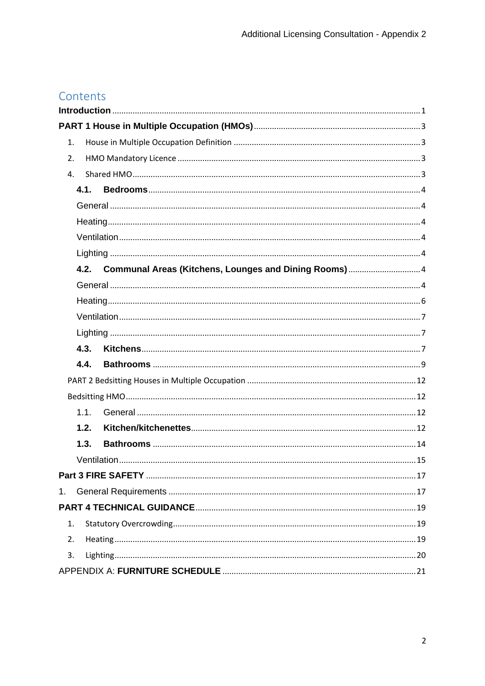# Contents

| 1.   |  |
|------|--|
| 2.   |  |
| 4.   |  |
| 4.1. |  |
|      |  |
|      |  |
|      |  |
|      |  |
| 4.2. |  |
|      |  |
|      |  |
|      |  |
|      |  |
| 4.3. |  |
| 4.4. |  |
|      |  |
|      |  |
| 1.1. |  |
| 1.2. |  |
| 1.3. |  |
|      |  |
|      |  |
| 1.   |  |
|      |  |
| 1.   |  |
| 2.   |  |
| 3.   |  |
|      |  |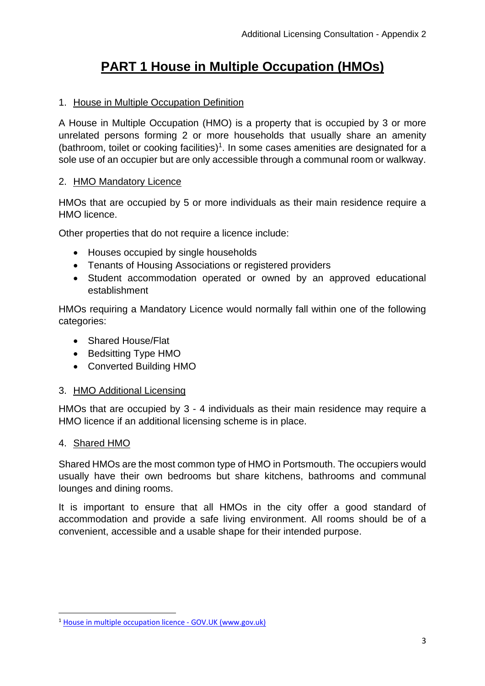# **PART 1 House in Multiple Occupation (HMOs)**

# <span id="page-2-1"></span><span id="page-2-0"></span>1. House in Multiple Occupation Definition

A House in Multiple Occupation (HMO) is a property that is occupied by 3 or more unrelated persons forming 2 or more households that usually share an amenity (bathroom, toilet or cooking facilities)<sup>1</sup>. In some cases amenities are designated for a sole use of an occupier but are only accessible through a communal room or walkway.

### <span id="page-2-2"></span>2. HMO Mandatory Licence

HMOs that are occupied by 5 or more individuals as their main residence require a HMO licence.

Other properties that do not require a licence include:

- Houses occupied by single households
- Tenants of Housing Associations or registered providers
- Student accommodation operated or owned by an approved educational establishment

HMOs requiring a Mandatory Licence would normally fall within one of the following categories:

- Shared House/Flat
- Bedsitting Type HMO
- Converted Building HMO

# 3. HMO Additional Licensing

HMOs that are occupied by 3 - 4 individuals as their main residence may require a HMO licence if an additional licensing scheme is in place.

# <span id="page-2-3"></span>4. Shared HMO

Shared HMOs are the most common type of HMO in Portsmouth. The occupiers would usually have their own bedrooms but share kitchens, bathrooms and communal lounges and dining rooms.

It is important to ensure that all HMOs in the city offer a good standard of accommodation and provide a safe living environment. All rooms should be of a convenient, accessible and a usable shape for their intended purpose.

<sup>1</sup> [House in multiple occupation licence -](https://www.gov.uk/house-in-multiple-occupation-licence) GOV.UK (www.gov.uk)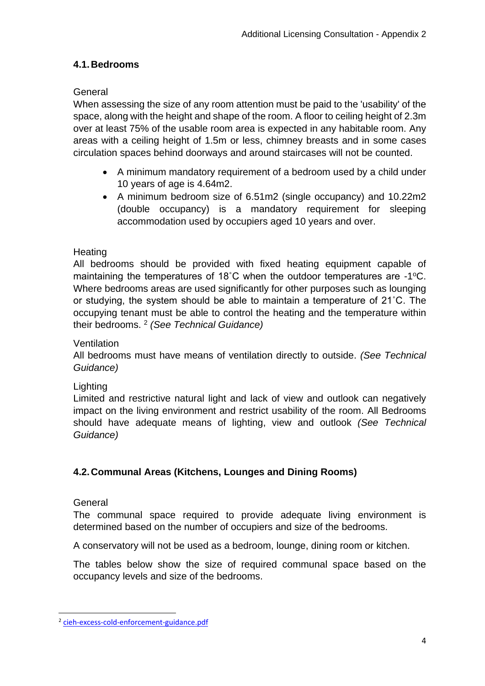# <span id="page-3-0"></span>**4.1.Bedrooms**

# <span id="page-3-1"></span>General

When assessing the size of any room attention must be paid to the 'usability' of the space, along with the height and shape of the room. A floor to ceiling height of 2.3m over at least 75% of the usable room area is expected in any habitable room. Any areas with a ceiling height of 1.5m or less, chimney breasts and in some cases circulation spaces behind doorways and around staircases will not be counted.

- A minimum mandatory requirement of a bedroom used by a child under 10 years of age is 4.64m2.
- A minimum bedroom size of 6.51m2 (single occupancy) and 10.22m2 (double occupancy) is a mandatory requirement for sleeping accommodation used by occupiers aged 10 years and over.

### <span id="page-3-2"></span>**Heating**

All bedrooms should be provided with fixed heating equipment capable of maintaining the temperatures of 18°C when the outdoor temperatures are -1°C. Where bedrooms areas are used significantly for other purposes such as lounging or studying, the system should be able to maintain a temperature of 21˚C. The occupying tenant must be able to control the heating and the temperature within their bedrooms. <sup>2</sup> *(See Technical Guidance)*

#### <span id="page-3-3"></span>**Ventilation**

All bedrooms must have means of ventilation directly to outside. *(See Technical Guidance)*

#### <span id="page-3-4"></span>Lighting

Limited and restrictive natural light and lack of view and outlook can negatively impact on the living environment and restrict usability of the room. All Bedrooms should have adequate means of lighting, view and outlook *(See Technical Guidance)*

# <span id="page-3-5"></span>**4.2.Communal Areas (Kitchens, Lounges and Dining Rooms)**

#### <span id="page-3-6"></span>**General**

The communal space required to provide adequate living environment is determined based on the number of occupiers and size of the bedrooms.

A conservatory will not be used as a bedroom, lounge, dining room or kitchen.

The tables below show the size of required communal space based on the occupancy levels and size of the bedrooms.

<sup>&</sup>lt;sup>2</sup> [cieh-excess-cold-enforcement-guidance.pdf](https://www.cieh.org/media/3762/cieh-excess-cold-enforcement-guidance.pdf)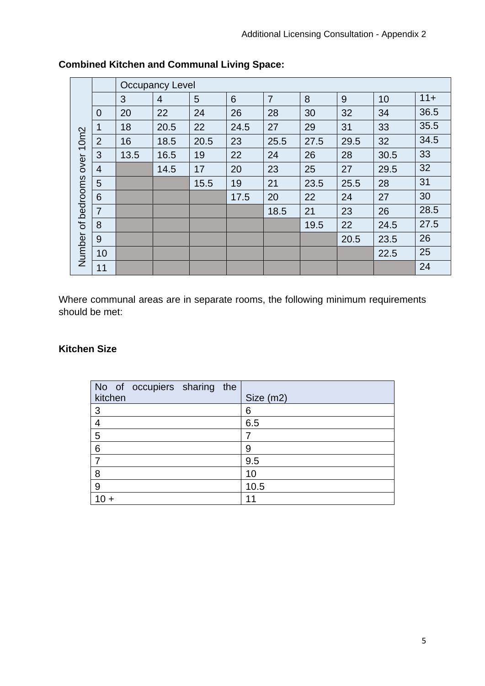|                      |                 |      | <b>Occupancy Level</b> |      |      |                |      |      |      |        |
|----------------------|-----------------|------|------------------------|------|------|----------------|------|------|------|--------|
|                      |                 | 3    | 4                      | 5    | 6    | $\overline{7}$ | 8    | 9    | 10   | $11 +$ |
|                      | $\overline{0}$  | 20   | 22                     | 24   | 26   | 28             | 30   | 32   | 34   | 36.5   |
|                      | 1               | 18   | 20.5                   | 22   | 24.5 | 27             | 29   | 31   | 33   | 35.5   |
|                      | $\overline{2}$  | 16   | 18.5                   | 20.5 | 23   | 25.5           | 27.5 | 29.5 | 32   | 34.5   |
| over <sub>10m2</sub> | 3               | 13.5 | 16.5                   | 19   | 22   | 24             | 26   | 28   | 30.5 | 33     |
|                      | $\overline{4}$  |      | 14.5                   | 17   | 20   | 23             | 25   | 27   | 29.5 | 32     |
|                      | 5               |      |                        | 15.5 | 19   | 21             | 23.5 | 25.5 | 28   | 31     |
| of bedrooms          | $6\phantom{1}$  |      |                        |      | 17.5 | 20             | 22   | 24   | 27   | 30     |
|                      | $\overline{7}$  |      |                        |      |      | 18.5           | 21   | 23   | 26   | 28.5   |
|                      | 8               |      |                        |      |      |                | 19.5 | 22   | 24.5 | 27.5   |
|                      | 9               |      |                        |      |      |                |      | 20.5 | 23.5 | 26     |
| Number               | 10 <sup>°</sup> |      |                        |      |      |                |      |      | 22.5 | 25     |
|                      | 11              |      |                        |      |      |                |      |      |      | 24     |

# **Combined Kitchen and Communal Living Space:**

Where communal areas are in separate rooms, the following minimum requirements should be met:

# **Kitchen Size**

|                | No of occupiers sharing the |  |           |
|----------------|-----------------------------|--|-----------|
| kitchen        |                             |  | Size (m2) |
| 3              |                             |  | 6         |
|                |                             |  | 6.5       |
| $\overline{5}$ |                             |  | 7         |
| 6              |                             |  | 9         |
|                |                             |  | 9.5       |
| 8              |                             |  | 10        |
| 9              |                             |  | 10.5      |
|                |                             |  | 11        |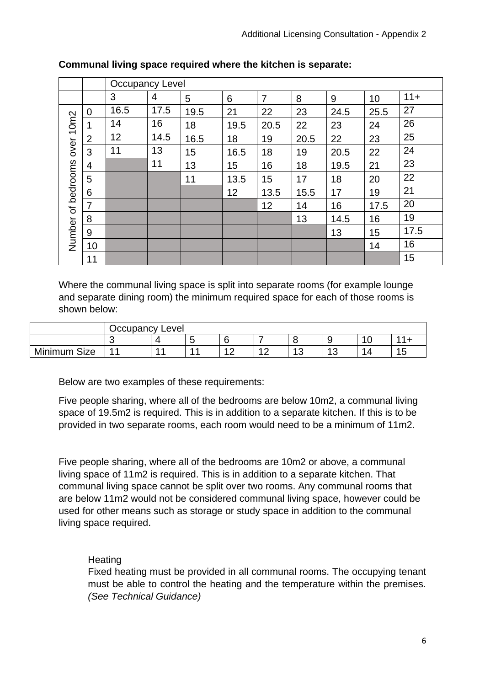|                    |                | <b>Occupancy Level</b> |      |      |      |                |      |      |      |        |
|--------------------|----------------|------------------------|------|------|------|----------------|------|------|------|--------|
|                    |                | 3                      | 4    | 5    | 6    | $\overline{7}$ | 8    | 9    | 10   | $11 +$ |
| 10 <sub>m2</sub>   | $\Omega$       | 16.5                   | 17.5 | 19.5 | 21   | 22             | 23   | 24.5 | 25.5 | 27     |
|                    | 1              | 14                     | 16   | 18   | 19.5 | 20.5           | 22   | 23   | 24   | 26     |
|                    | $\overline{2}$ | 12                     | 14.5 | 16.5 | 18   | 19             | 20.5 | 22   | 23   | 25     |
| over               | 3              | 11                     | 13   | 15   | 16.5 | 18             | 19   | 20.5 | 22   | 24     |
| Number of bedrooms | $\overline{4}$ |                        | 11   | 13   | 15   | 16             | 18   | 19.5 | 21   | 23     |
|                    | 5              |                        |      | 11   | 13.5 | 15             | 17   | 18   | 20   | 22     |
|                    | 6              |                        |      |      | 12   | 13.5           | 15.5 | 17   | 19   | 21     |
|                    | 7              |                        |      |      |      | 12             | 14   | 16   | 17.5 | 20     |
|                    | 8              |                        |      |      |      |                | 13   | 14.5 | 16   | 19     |
|                    | 9              |                        |      |      |      |                |      | 13   | 15   | 17.5   |
|                    | 10             |                        |      |      |      |                |      |      | 14   | 16     |
|                    | 11             |                        |      |      |      |                |      |      |      | 15     |

#### **Communal living space required where the kitchen is separate:**

Where the communal living space is split into separate rooms (for example lounge and separate dining room) the minimum required space for each of those rooms is shown below:

|                 | Occupancy Level |  |             |   |                                              |                         |                     |                                                |
|-----------------|-----------------|--|-------------|---|----------------------------------------------|-------------------------|---------------------|------------------------------------------------|
|                 |                 |  | -<br>-<br>w |   |                                              |                         | ∼                   |                                                |
| Size<br>Minimum | л               |  |             | - | $\Lambda$ $\cap$<br>$\overline{\phantom{a}}$ | $\Lambda$ $\Omega$<br>w | $\overline{a}$<br>ັ | $\overline{A}$<br><br>$\overline{\phantom{a}}$ |

Below are two examples of these requirements:

Five people sharing, where all of the bedrooms are below 10m2, a communal living space of 19.5m2 is required. This is in addition to a separate kitchen. If this is to be provided in two separate rooms, each room would need to be a minimum of 11m2.

Five people sharing, where all of the bedrooms are 10m2 or above, a communal living space of 11m2 is required. This is in addition to a separate kitchen. That communal living space cannot be split over two rooms. Any communal rooms that are below 11m2 would not be considered communal living space, however could be used for other means such as storage or study space in addition to the communal living space required.

# <span id="page-5-0"></span>**Heating**

Fixed heating must be provided in all communal rooms. The occupying tenant must be able to control the heating and the temperature within the premises. *(See Technical Guidance)*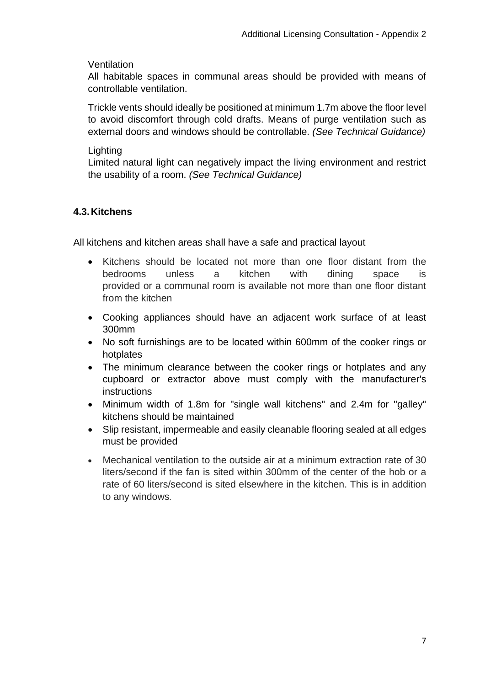#### <span id="page-6-0"></span>**Ventilation**

All habitable spaces in communal areas should be provided with means of controllable ventilation.

Trickle vents should ideally be positioned at minimum 1.7m above the floor level to avoid discomfort through cold drafts. Means of purge ventilation such as external doors and windows should be controllable. *(See Technical Guidance)* 

#### <span id="page-6-1"></span>**Lighting**

Limited natural light can negatively impact the living environment and restrict the usability of a room. *(See Technical Guidance)*

# <span id="page-6-2"></span>**4.3.Kitchens**

All kitchens and kitchen areas shall have a safe and practical layout

- Kitchens should be located not more than one floor distant from the bedrooms unless a kitchen with dining space is provided or a communal room is available not more than one floor distant from the kitchen
- Cooking appliances should have an adjacent work surface of at least 300mm
- No soft furnishings are to be located within 600mm of the cooker rings or hotplates
- The minimum clearance between the cooker rings or hotplates and any cupboard or extractor above must comply with the manufacturer's instructions
- Minimum width of 1.8m for "single wall kitchens" and 2.4m for "galley" kitchens should be maintained
- Slip resistant, impermeable and easily cleanable flooring sealed at all edges must be provided
- Mechanical ventilation to the outside air at a minimum extraction rate of 30 liters/second if the fan is sited within 300mm of the center of the hob or a rate of 60 liters/second is sited elsewhere in the kitchen. This is in addition to any windows.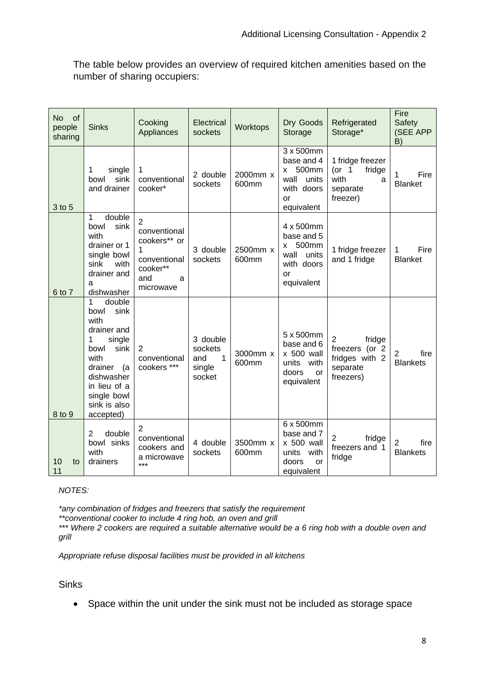The table below provides an overview of required kitchen amenities based on the number of sharing occupiers:

| <b>No</b><br><b>of</b><br>people<br>sharing | <b>Sinks</b>                                                                                                                                                                          | Cooking<br>Appliances                                                                                    | Electrical<br>sockets                                          | Worktops          | Dry Goods<br>Storage                                                                     | Refrigerated<br>Storage*                                                              | Fire<br>Safety<br>(SEE APP<br>B)          |
|---------------------------------------------|---------------------------------------------------------------------------------------------------------------------------------------------------------------------------------------|----------------------------------------------------------------------------------------------------------|----------------------------------------------------------------|-------------------|------------------------------------------------------------------------------------------|---------------------------------------------------------------------------------------|-------------------------------------------|
| 3 to 5                                      | 1<br>single<br>sink<br>bowl<br>and drainer                                                                                                                                            | 1<br>conventional<br>cooker*                                                                             | 2 double<br>sockets                                            | 2000mm x<br>600mm | 3 x 500mm<br>base and 4<br>500mm<br>X<br>wall<br>units<br>with doors<br>or<br>equivalent | 1 fridge freezer<br>(or $1$<br>fridge<br>with<br>a<br>separate<br>freezer)            | 1<br>Fire<br><b>Blanket</b>               |
| 6 to 7                                      | double<br>1<br>sink<br>bowl<br>with<br>drainer or 1<br>single bowl<br>sink<br>with<br>drainer and<br>a<br>dishwasher                                                                  | $\overline{2}$<br>conventional<br>cookers** or<br>1<br>conventional<br>cooker**<br>and<br>a<br>microwave | 3 double<br>sockets                                            | 2500mm x<br>600mm | 4 x 500mm<br>base and 5<br>500mm<br>X<br>wall<br>units<br>with doors<br>or<br>equivalent | 1 fridge freezer<br>and 1 fridge                                                      | Fire<br>1<br><b>Blanket</b>               |
| 8 to 9                                      | 1<br>double<br>sink<br>bowl<br>with<br>drainer and<br>1<br>single<br>sink<br>bowl<br>with<br>drainer<br>(a)<br>dishwasher<br>in lieu of a<br>single bowl<br>sink is also<br>accepted) | 2<br>conventional<br>cookers ***                                                                         | 3 double<br>sockets<br>$\mathbf{1}$<br>and<br>single<br>socket | 3000mm x<br>600mm | 5 x 500mm<br>base and 6<br>x 500 wall<br>units<br>with<br>doors<br>or<br>equivalent      | $\overline{2}$<br>fridge<br>freezers (or 2<br>fridges with 2<br>separate<br>freezers) | $\overline{2}$<br>fire<br><b>Blankets</b> |
| 10<br>to<br>11                              | 2<br>double<br>bowl sinks<br>with<br>drainers                                                                                                                                         | $\overline{2}$<br>conventional<br>cookers and<br>a microwave<br>***                                      | 4 double<br>sockets                                            | 3500mm x<br>600mm | 6 x 500mm<br>base and 7<br>x 500 wall<br>units<br>with<br>doors<br>or<br>equivalent      | 2<br>fridge<br>freezers and 1<br>fridge                                               | $\overline{2}$<br>fire<br><b>Blankets</b> |

#### *NOTES:*

*\*any combination of fridges and freezers that satisfy the requirement*

*\*\*conventional cooker to include 4 ring hob, an oven and grill*

*\*\*\* Where 2 cookers are required a suitable alternative would be a 6 ring hob with a double oven and grill*

*Appropriate refuse disposal facilities must be provided in all kitchens*

#### **Sinks**

• Space within the unit under the sink must not be included as storage space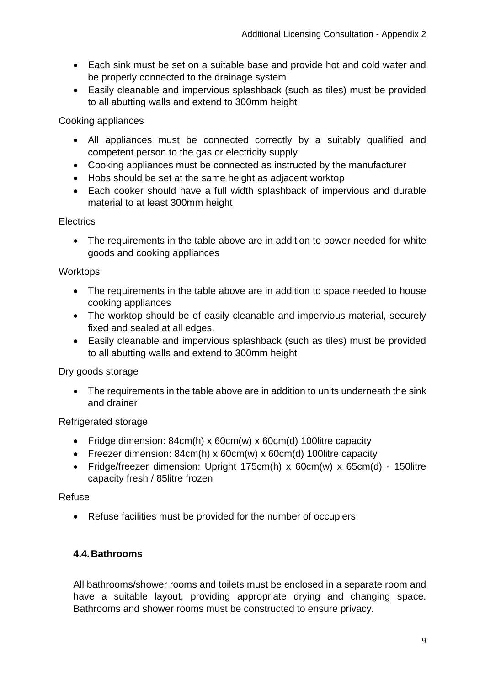- Each sink must be set on a suitable base and provide hot and cold water and be properly connected to the drainage system
- Easily cleanable and impervious splashback (such as tiles) must be provided to all abutting walls and extend to 300mm height

### Cooking appliances

- All appliances must be connected correctly by a suitably qualified and competent person to the gas or electricity supply
- Cooking appliances must be connected as instructed by the manufacturer
- Hobs should be set at the same height as adjacent worktop
- Each cooker should have a full width splashback of impervious and durable material to at least 300mm height

### **Electrics**

• The requirements in the table above are in addition to power needed for white goods and cooking appliances

### **Worktops**

- The requirements in the table above are in addition to space needed to house cooking appliances
- The worktop should be of easily cleanable and impervious material, securely fixed and sealed at all edges.
- Easily cleanable and impervious splashback (such as tiles) must be provided to all abutting walls and extend to 300mm height

# Dry goods storage

• The requirements in the table above are in addition to units underneath the sink and drainer

# Refrigerated storage

- Fridge dimension: 84cm(h) x 60cm(w) x 60cm(d) 100 litre capacity
- Freezer dimension: 84cm(h) x 60cm(w) x 60cm(d) 100 litre capacity
- Fridge/freezer dimension: Upright 175cm(h) x 60cm(w) x 65cm(d) 150litre capacity fresh / 85litre frozen

#### Refuse

• Refuse facilities must be provided for the number of occupiers

# <span id="page-8-0"></span>**4.4.Bathrooms**

All bathrooms/shower rooms and toilets must be enclosed in a separate room and have a suitable layout, providing appropriate drying and changing space. Bathrooms and shower rooms must be constructed to ensure privacy.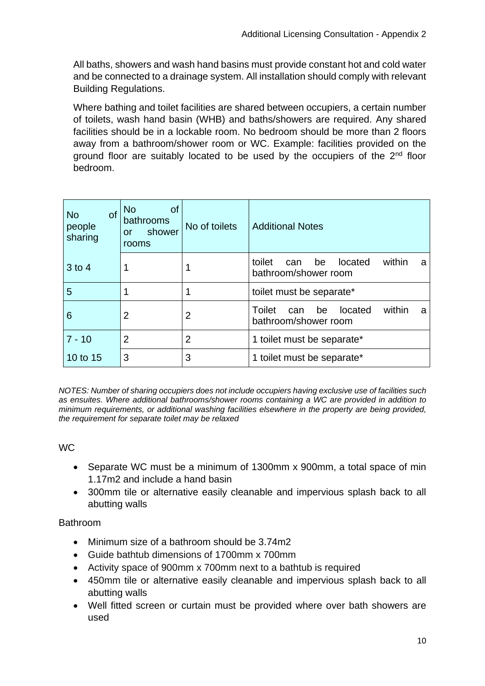All baths, showers and wash hand basins must provide constant hot and cold water and be connected to a drainage system. All installation should comply with relevant Building Regulations.

Where bathing and toilet facilities are shared between occupiers, a certain number of toilets, wash hand basin (WHB) and baths/showers are required. Any shared facilities should be in a lockable room. No bedroom should be more than 2 floors away from a bathroom/shower room or WC. Example: facilities provided on the ground floor are suitably located to be used by the occupiers of the 2<sup>nd</sup> floor bedroom.

| <b>of</b><br><b>No</b><br>people<br>sharing | <b>No</b><br><b>of</b><br>bathrooms<br>shower<br>or<br>rooms | No of toilets | <b>Additional Notes</b>                                               |
|---------------------------------------------|--------------------------------------------------------------|---------------|-----------------------------------------------------------------------|
| $3$ to 4                                    |                                                              |               | within<br>toilet<br>located<br>be<br>can<br>a<br>bathroom/shower room |
| 5                                           | 1                                                            |               | toilet must be separate*                                              |
| 6                                           | $\overline{2}$                                               | 2             | Toilet<br>within<br>located<br>be<br>can<br>a<br>bathroom/shower room |
| $7 - 10$                                    | 2                                                            | 2             | 1 toilet must be separate*                                            |
| 10 to 15                                    | 3                                                            | 3             | 1 toilet must be separate*                                            |

*NOTES: Number of sharing occupiers does not include occupiers having exclusive use of facilities such as ensuites. Where additional bathrooms/shower rooms containing a WC are provided in addition to minimum requirements, or additional washing facilities elsewhere in the property are being provided, the requirement for separate toilet may be relaxed*

# WC

- Separate WC must be a minimum of 1300mm x 900mm, a total space of min 1.17m2 and include a hand basin
- 300mm tile or alternative easily cleanable and impervious splash back to all abutting walls

# **Bathroom**

- Minimum size of a bathroom should be 3.74m2
- Guide bathtub dimensions of 1700mm x 700mm
- Activity space of 900mm x 700mm next to a bathtub is required
- 450mm tile or alternative easily cleanable and impervious splash back to all abutting walls
- Well fitted screen or curtain must be provided where over bath showers are used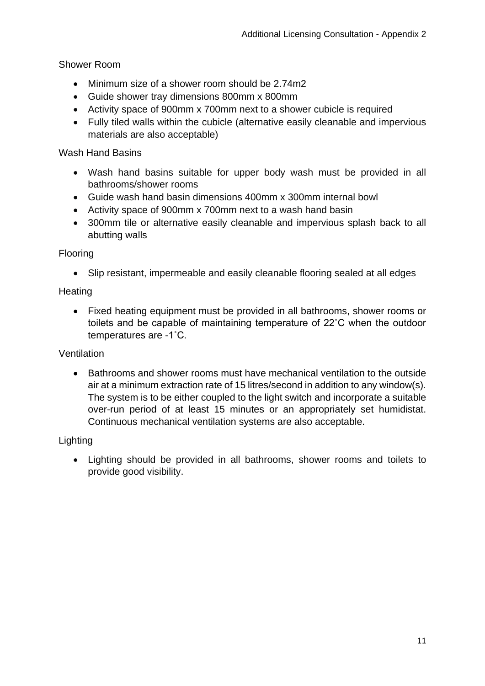# Shower Room

- Minimum size of a shower room should be 2.74m2
- Guide shower tray dimensions 800mm x 800mm
- Activity space of 900mm x 700mm next to a shower cubicle is required
- Fully tiled walls within the cubicle (alternative easily cleanable and impervious materials are also acceptable)

### Wash Hand Basins

- Wash hand basins suitable for upper body wash must be provided in all bathrooms/shower rooms
- Guide wash hand basin dimensions 400mm x 300mm internal bowl
- Activity space of 900mm x 700mm next to a wash hand basin
- 300mm tile or alternative easily cleanable and impervious splash back to all abutting walls

### Flooring

• Slip resistant, impermeable and easily cleanable flooring sealed at all edges

# **Heating**

• Fixed heating equipment must be provided in all bathrooms, shower rooms or toilets and be capable of maintaining temperature of 22˚C when the outdoor temperatures are -1˚C.

# **Ventilation**

• Bathrooms and shower rooms must have mechanical ventilation to the outside air at a minimum extraction rate of 15 litres/second in addition to any window(s). The system is to be either coupled to the light switch and incorporate a suitable over-run period of at least 15 minutes or an appropriately set humidistat. Continuous mechanical ventilation systems are also acceptable.

# Lighting

• Lighting should be provided in all bathrooms, shower rooms and toilets to provide good visibility.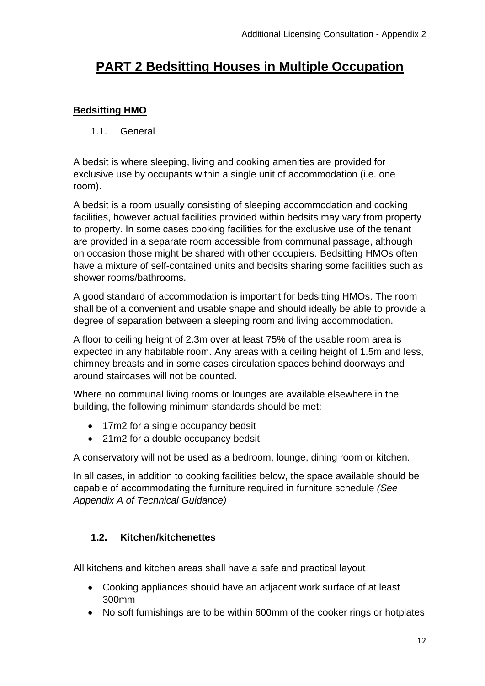# <span id="page-11-0"></span>**PART 2 Bedsitting Houses in Multiple Occupation**

# <span id="page-11-2"></span><span id="page-11-1"></span>**Bedsitting HMO**

1.1. General

A bedsit is where sleeping, living and cooking amenities are provided for exclusive use by occupants within a single unit of accommodation (i.e. one room).

A bedsit is a room usually consisting of sleeping accommodation and cooking facilities, however actual facilities provided within bedsits may vary from property to property. In some cases cooking facilities for the exclusive use of the tenant are provided in a separate room accessible from communal passage, although on occasion those might be shared with other occupiers. Bedsitting HMOs often have a mixture of self-contained units and bedsits sharing some facilities such as shower rooms/bathrooms.

A good standard of accommodation is important for bedsitting HMOs. The room shall be of a convenient and usable shape and should ideally be able to provide a degree of separation between a sleeping room and living accommodation.

A floor to ceiling height of 2.3m over at least 75% of the usable room area is expected in any habitable room. Any areas with a ceiling height of 1.5m and less, chimney breasts and in some cases circulation spaces behind doorways and around staircases will not be counted.

Where no communal living rooms or lounges are available elsewhere in the building, the following minimum standards should be met:

- 17m2 for a single occupancy bedsit
- 21m2 for a double occupancy bedsit

A conservatory will not be used as a bedroom, lounge, dining room or kitchen.

In all cases, in addition to cooking facilities below, the space available should be capable of accommodating the furniture required in furniture schedule *(See Appendix A of Technical Guidance)*

# <span id="page-11-3"></span>**1.2. Kitchen/kitchenettes**

All kitchens and kitchen areas shall have a safe and practical layout

- Cooking appliances should have an adjacent work surface of at least 300mm
- No soft furnishings are to be within 600mm of the cooker rings or hotplates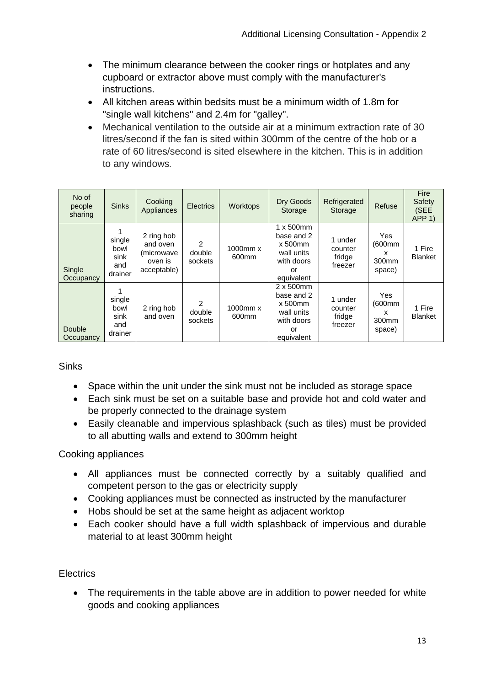- The minimum clearance between the cooker rings or hotplates and any cupboard or extractor above must comply with the manufacturer's instructions.
- All kitchen areas within bedsits must be a minimum width of 1.8m for "single wall kitchens" and 2.4m for "galley".
- Mechanical ventilation to the outside air at a minimum extraction rate of 30 litres/second if the fan is sited within 300mm of the centre of the hob or a rate of 60 litres/second is sited elsewhere in the kitchen. This is in addition to any windows.

| No of<br>people<br>sharing | <b>Sinks</b>                             | Cooking<br>Appliances                                          | <b>Electrics</b>       | Worktops                      | Dry Goods<br>Storage                                                                          | Refrigerated<br>Storage                 | Refuse                                            | <b>Fire</b><br>Safety<br>(SEE<br>APP <sub>1</sub> |
|----------------------------|------------------------------------------|----------------------------------------------------------------|------------------------|-------------------------------|-----------------------------------------------------------------------------------------------|-----------------------------------------|---------------------------------------------------|---------------------------------------------------|
| Single<br>Occupancy        | single<br>bowl<br>sink<br>and<br>drainer | 2 ring hob<br>and oven<br>(microwave<br>oven is<br>acceptable) | 2<br>double<br>sockets | $1000$ mm $x$<br>600mm        | $1 \times 500$ mm<br>base and 2<br>$x 500$ mm<br>wall units<br>with doors<br>or<br>equivalent | 1 under<br>counter<br>fridge<br>freezer | Yes<br>(600mm<br>x<br>300mm<br>space)             | 1 Fire<br><b>Blanket</b>                          |
| Double<br>Occupancy        | single<br>bowl<br>sink<br>and<br>drainer | 2 ring hob<br>and oven                                         | 2<br>double<br>sockets | 1000mm x<br>600 <sub>mm</sub> | $2 \times 500$ mm<br>base and 2<br>$x 500$ mm<br>wall units<br>with doors<br>or<br>equivalent | 1 under<br>counter<br>fridge<br>freezer | Yes<br>(600mm<br>x<br>300 <sub>mm</sub><br>space) | 1 Fire<br><b>Blanket</b>                          |

# Sinks

- Space within the unit under the sink must not be included as storage space
- Each sink must be set on a suitable base and provide hot and cold water and be properly connected to the drainage system
- Easily cleanable and impervious splashback (such as tiles) must be provided to all abutting walls and extend to 300mm height

# Cooking appliances

- All appliances must be connected correctly by a suitably qualified and competent person to the gas or electricity supply
- Cooking appliances must be connected as instructed by the manufacturer
- Hobs should be set at the same height as adjacent worktop
- Each cooker should have a full width splashback of impervious and durable material to at least 300mm height

# **Electrics**

• The requirements in the table above are in addition to power needed for white goods and cooking appliances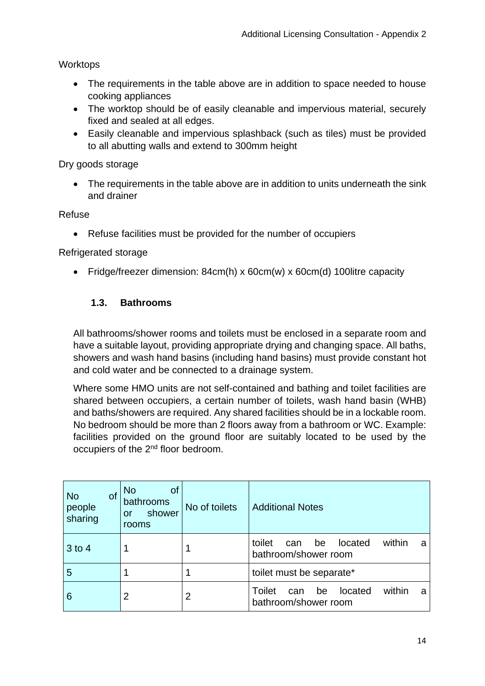**Worktops** 

- The requirements in the table above are in addition to space needed to house cooking appliances
- The worktop should be of easily cleanable and impervious material, securely fixed and sealed at all edges.
- Easily cleanable and impervious splashback (such as tiles) must be provided to all abutting walls and extend to 300mm height

Dry goods storage

• The requirements in the table above are in addition to units underneath the sink and drainer

Refuse

• Refuse facilities must be provided for the number of occupiers

Refrigerated storage

• Fridge/freezer dimension: 84cm(h) x 60cm(w) x 60cm(d) 100litre capacity

# <span id="page-13-0"></span>**1.3. Bathrooms**

All bathrooms/shower rooms and toilets must be enclosed in a separate room and have a suitable layout, providing appropriate drying and changing space. All baths, showers and wash hand basins (including hand basins) must provide constant hot and cold water and be connected to a drainage system.

Where some HMO units are not self-contained and bathing and toilet facilities are shared between occupiers, a certain number of toilets, wash hand basin (WHB) and baths/showers are required. Any shared facilities should be in a lockable room. No bedroom should be more than 2 floors away from a bathroom or WC. Example: facilities provided on the ground floor are suitably located to be used by the occupiers of the 2nd floor bedroom.

| of<br><b>No</b><br>people<br>sharing | <b>No</b><br><b>of</b><br>bathrooms<br>shower<br>or<br>rooms | No of toilets | <b>Additional Notes</b>                                               |
|--------------------------------------|--------------------------------------------------------------|---------------|-----------------------------------------------------------------------|
| $3$ to 4                             |                                                              |               | within<br>toilet<br>located<br>be<br>can<br>a<br>bathroom/shower room |
| 5                                    |                                                              |               | toilet must be separate*                                              |
| 6                                    | 2                                                            | 2             | within<br>Toilet<br>located<br>be<br>can<br>a<br>bathroom/shower room |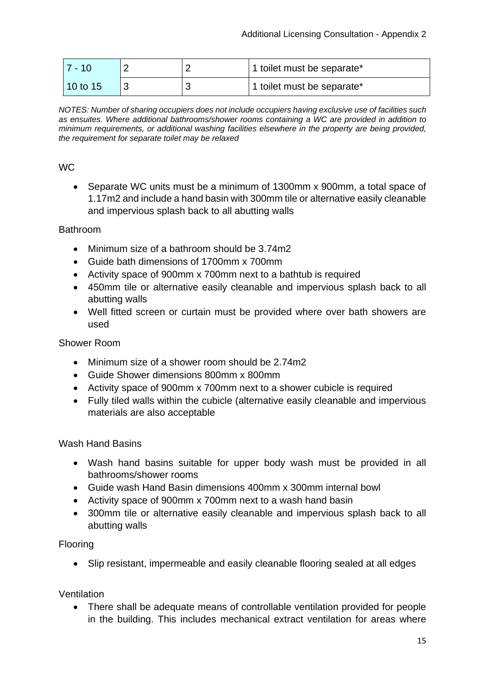| 7 - 10     |  | 1 toilet must be separate* |
|------------|--|----------------------------|
| $10$ to 15 |  | 1 toilet must be separate* |

*NOTES: Number of sharing occupiers does not include occupiers having exclusive use of facilities such as ensuites. Where additional bathrooms/shower rooms containing a WC are provided in addition to minimum requirements, or additional washing facilities elsewhere in the property are being provided, the requirement for separate toilet may be relaxed*

### WC

• Separate WC units must be a minimum of 1300mm x 900mm, a total space of 1.17m2 and include a hand basin with 300mm tile or alternative easily cleanable and impervious splash back to all abutting walls

#### Bathroom

- Minimum size of a bathroom should be 3.74m2
- Guide bath dimensions of 1700mm x 700mm
- Activity space of 900mm x 700mm next to a bathtub is required
- 450mm tile or alternative easily cleanable and impervious splash back to all abutting walls
- Well fitted screen or curtain must be provided where over bath showers are used

#### Shower Room

- Minimum size of a shower room should be 2.74m2
- Guide Shower dimensions 800mm x 800mm
- Activity space of 900mm x 700mm next to a shower cubicle is required
- Fully tiled walls within the cubicle (alternative easily cleanable and impervious materials are also acceptable

#### Wash Hand Basins

- Wash hand basins suitable for upper body wash must be provided in all bathrooms/shower rooms
- Guide wash Hand Basin dimensions 400mm x 300mm internal bowl
- Activity space of 900mm x 700mm next to a wash hand basin
- 300mm tile or alternative easily cleanable and impervious splash back to all abutting walls

#### Flooring

• Slip resistant, impermeable and easily cleanable flooring sealed at all edges

#### <span id="page-14-0"></span>Ventilation

• There shall be adequate means of controllable ventilation provided for people in the building. This includes mechanical extract ventilation for areas where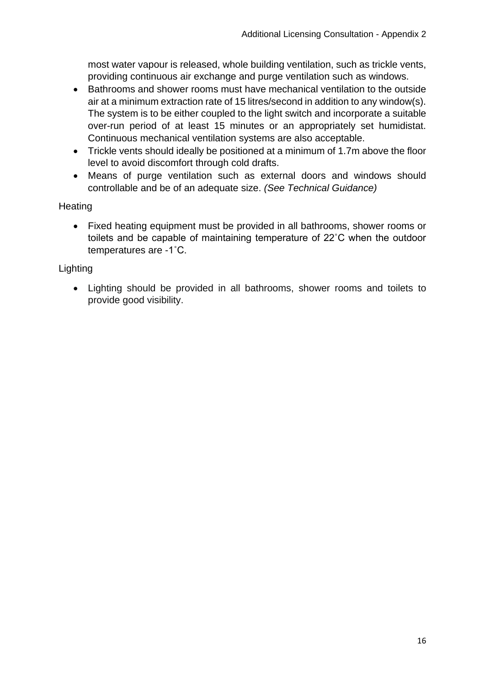most water vapour is released, whole building ventilation, such as trickle vents, providing continuous air exchange and purge ventilation such as windows.

- Bathrooms and shower rooms must have mechanical ventilation to the outside air at a minimum extraction rate of 15 litres/second in addition to any window(s). The system is to be either coupled to the light switch and incorporate a suitable over-run period of at least 15 minutes or an appropriately set humidistat. Continuous mechanical ventilation systems are also acceptable.
- Trickle vents should ideally be positioned at a minimum of 1.7m above the floor level to avoid discomfort through cold drafts.
- Means of purge ventilation such as external doors and windows should controllable and be of an adequate size. *(See Technical Guidance)*

# **Heating**

• Fixed heating equipment must be provided in all bathrooms, shower rooms or toilets and be capable of maintaining temperature of 22˚C when the outdoor temperatures are -1˚C.

# Lighting

• Lighting should be provided in all bathrooms, shower rooms and toilets to provide good visibility.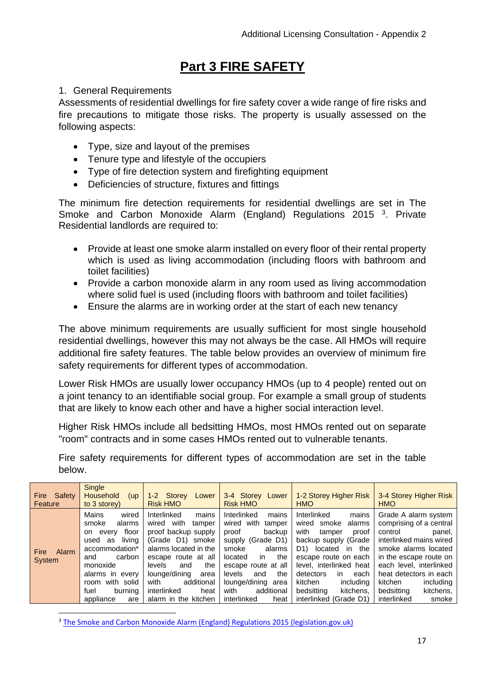# **Part 3 FIRE SAFETY**

# <span id="page-16-1"></span><span id="page-16-0"></span>1. General Requirements

Assessments of residential dwellings for fire safety cover a wide range of fire risks and fire precautions to mitigate those risks. The property is usually assessed on the following aspects:

- Type, size and layout of the premises
- Tenure type and lifestyle of the occupiers
- Type of fire detection system and firefighting equipment
- Deficiencies of structure, fixtures and fittings

The minimum fire detection requirements for residential dwellings are set in The Smoke and Carbon Monoxide Alarm (England) Regulations 2015<sup>3</sup>. Private Residential landlords are required to:

- Provide at least one smoke alarm installed on every floor of their rental property which is used as living accommodation (including floors with bathroom and toilet facilities)
- Provide a carbon monoxide alarm in any room used as living accommodation where solid fuel is used (including floors with bathroom and toilet facilities)
- Ensure the alarms are in working order at the start of each new tenancy

The above minimum requirements are usually sufficient for most single household residential dwellings, however this may not always be the case. All HMOs will require additional fire safety features. The table below provides an overview of minimum fire safety requirements for different types of accommodation.

Lower Risk HMOs are usually lower occupancy HMOs (up to 4 people) rented out on a joint tenancy to an identifiable social group. For example a small group of students that are likely to know each other and have a higher social interaction level.

Higher Risk HMOs include all bedsitting HMOs, most HMOs rented out on separate "room" contracts and in some cases HMOs rented out to vulnerable tenants.

Fire safety requirements for different types of accommodation are set in the table below.

| Safety<br><b>Fire</b><br>Feature | Single<br><b>Household</b><br>(up)<br>to 3 storey)                                                                                                                                                               | 1-2 Storey<br>Lower<br><b>Risk HMO</b>                                                                                                                                                                                                                           | 3-4 Storey Lower<br><b>Risk HMO</b>                                                                                                                                                                                                                | 1-2 Storey Higher Risk<br><b>HMO</b>                                                                                                                                                                                                                                                                      | 3-4 Storey Higher Risk<br><b>HMO</b>                                                                                                                                                                                                                                              |
|----------------------------------|------------------------------------------------------------------------------------------------------------------------------------------------------------------------------------------------------------------|------------------------------------------------------------------------------------------------------------------------------------------------------------------------------------------------------------------------------------------------------------------|----------------------------------------------------------------------------------------------------------------------------------------------------------------------------------------------------------------------------------------------------|-----------------------------------------------------------------------------------------------------------------------------------------------------------------------------------------------------------------------------------------------------------------------------------------------------------|-----------------------------------------------------------------------------------------------------------------------------------------------------------------------------------------------------------------------------------------------------------------------------------|
| Alarm<br><b>Fire</b><br>System   | Mains<br>wired<br>smoke<br>alarms<br>floor<br>everv<br>on<br>livina<br>used<br>as<br>accommodation*<br>carbon<br>and<br>monoxide<br>alarms in every<br>with solid<br>room<br>burning<br>fuel<br>appliance<br>are | Interlinked<br>mains<br>with<br>wired<br>tamper<br>proof backup supply<br>(Grade D1) smoke<br>alarms located in the<br>escape route at all<br>the<br>levels<br>and<br>lounge/dining<br>area<br>additional<br>with<br>interlinked<br>heat<br>alarm in the kitchen | Interlinked<br>mains<br>wired with<br>tamper<br>backup<br>proof<br>supply (Grade D1)<br>smoke<br>alarms<br>the<br>located<br>in.<br>escape route at all<br>the<br>levels<br>and<br>lounge/dining area<br>with<br>additional<br>interlinked<br>heat | Interlinked<br>mains<br>wired<br>alarms<br>smoke<br>with<br>tamper<br>proof<br>backup supply (Grade<br>D <sub>1</sub><br>located in the<br>escape route on each<br>level, interlinked heat<br>detectors<br>each<br><i>in</i><br>kitchen<br>including<br>bedsitting<br>kitchens.<br>interlinked (Grade D1) | Grade A alarm system<br>comprising of a central<br>control<br>panel,<br>interlinked mains wired<br>smoke alarms located<br>in the escape route on<br>each level, interlinked<br>heat detectors in each<br>kitchen<br>including<br>kitchens,<br>bedsitting<br>interlinked<br>smoke |

<sup>3</sup> [The Smoke and Carbon Monoxide Alarm \(England\) Regulations 2015 \(legislation.gov.uk\)](https://www.legislation.gov.uk/uksi/2015/1693/contents/made)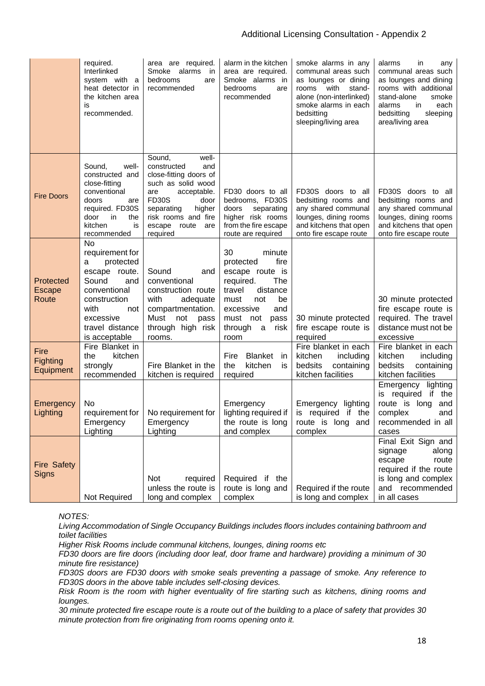|                                     | required.<br>Interlinked<br>system with a<br>heat detector in<br>the kitchen area<br>is<br>recommended.                                                                  | area are required.<br>Smoke alarms<br>in<br>bedrooms<br>are<br>recommended                                                                                                                                            | alarm in the kitchen<br>area are required.<br>Smoke alarms in<br>bedrooms<br>are<br>recommended                                                                                       | smoke alarms in any<br>communal areas such<br>as lounges or dining<br>rooms with<br>stand-<br>alone (non-interlinked)<br>smoke alarms in each<br>bedsitting<br>sleeping/living area | alarms<br>in<br>any<br>communal areas such<br>as lounges and dining<br>rooms with additional<br>stand-alone<br>smoke<br>alarms<br>in.<br>each<br>bedsitting<br>sleeping<br>area/living area |
|-------------------------------------|--------------------------------------------------------------------------------------------------------------------------------------------------------------------------|-----------------------------------------------------------------------------------------------------------------------------------------------------------------------------------------------------------------------|---------------------------------------------------------------------------------------------------------------------------------------------------------------------------------------|-------------------------------------------------------------------------------------------------------------------------------------------------------------------------------------|---------------------------------------------------------------------------------------------------------------------------------------------------------------------------------------------|
| <b>Fire Doors</b>                   | well-<br>Sound,<br>constructed and<br>close-fitting<br>conventional<br>doors<br>are<br>required. FD30S<br>door<br>in<br>the<br>kitchen<br>is<br>recommended              | Sound.<br>well-<br>constructed<br>and<br>close-fitting doors of<br>such as solid wood<br>acceptable.<br>are<br><b>FD30S</b><br>door<br>higher<br>separating<br>risk rooms and fire<br>escape route<br>are<br>required | FD30 doors to all<br>bedrooms, FD30S<br>doors<br>separating<br>higher risk rooms<br>from the fire escape<br>route are required                                                        | FD30S doors to all<br>bedsitting rooms and<br>any shared communal<br>lounges, dining rooms<br>and kitchens that open<br>onto fire escape route                                      | FD30S doors to all<br>bedsitting rooms and<br>any shared communal<br>lounges, dining rooms<br>and kitchens that open<br>onto fire escape route                                              |
| Protected<br><b>Escape</b><br>Route | No<br>requirement for<br>protected<br>a<br>escape route.<br>Sound<br>and<br>conventional<br>construction<br>with<br>not<br>excessive<br>travel distance<br>is acceptable | Sound<br>and<br>conventional<br>construction route<br>with<br>adequate<br>compartmentation.<br>Must<br>not<br>pass<br>through high risk<br>rooms.                                                                     | 30<br>minute<br>fire<br>protected<br>escape route is<br>required.<br>The<br>travel<br>distance<br>be<br>must<br>not<br>excessive<br>and<br>must not<br>pass<br>through a risk<br>room | 30 minute protected<br>fire escape route is<br>required                                                                                                                             | 30 minute protected<br>fire escape route is<br>required. The travel<br>distance must not be<br>excessive                                                                                    |
| Fire<br>Fighting<br>Equipment       | Fire Blanket in<br>kitchen<br>the<br>strongly<br>recommended                                                                                                             | Fire Blanket in the<br>kitchen is required                                                                                                                                                                            | <b>Blanket</b><br>Fire<br>in<br>kitchen<br>the<br>is<br>required                                                                                                                      | Fire blanket in each<br>kitchen<br>including<br>containing<br>bedsits<br>kitchen facilities                                                                                         | Fire blanket in each<br>kitchen<br>including<br>bedsits<br>containing<br>kitchen facilities                                                                                                 |
| Emergency<br>Lighting               | No<br>requirement for<br>Emergency<br>Lighting                                                                                                                           | No requirement for<br>Emergency<br>Lighting                                                                                                                                                                           | Emergency<br>lighting required if<br>the route is long<br>and complex                                                                                                                 | Emergency lighting<br>is required if the<br>route is long and<br>complex                                                                                                            | Emergency lighting<br>is required if the<br>route is long and<br>complex<br>and<br>recommended in all<br>cases                                                                              |
| <b>Fire Safety</b><br><b>Signs</b>  | Not Required                                                                                                                                                             | Not<br>required<br>unless the route is<br>long and complex                                                                                                                                                            | Required if the<br>route is long and<br>complex                                                                                                                                       | Required if the route<br>is long and complex                                                                                                                                        | Final Exit Sign and<br>signage<br>along<br>escape<br>route<br>required if the route<br>is long and complex<br>and recommended<br>in all cases                                               |

*NOTES:*

*Living Accommodation of Single Occupancy Buildings includes floors includes containing bathroom and toilet facilities*

*Higher Risk Rooms include communal kitchens, lounges, dining rooms etc*

*FD30 doors are fire doors (including door leaf, door frame and hardware) providing a minimum of 30 minute fire resistance)*

*FD30S doors are FD30 doors with smoke seals preventing a passage of smoke. Any reference to FD30S doors in the above table includes self-closing devices.*

*Risk Room is the room with higher eventuality of fire starting such as kitchens, dining rooms and lounges.*

*30 minute protected fire escape route is a route out of the building to a place of safety that provides 30 minute protection from fire originating from rooms opening onto it.*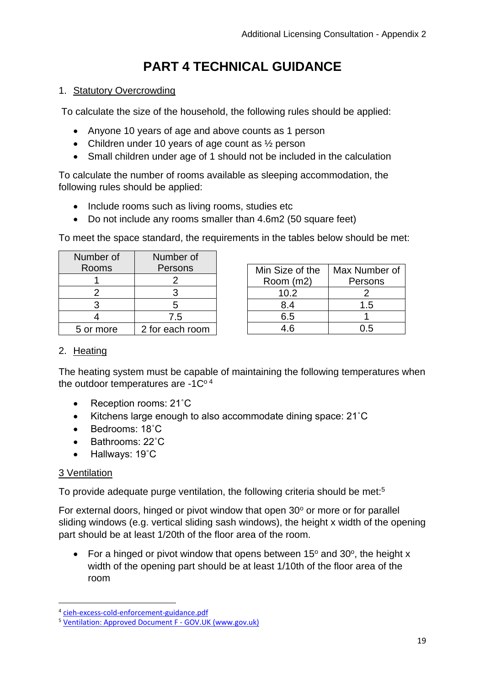# **PART 4 TECHNICAL GUIDANCE**

### <span id="page-18-1"></span><span id="page-18-0"></span>1. Statutory Overcrowding

To calculate the size of the household, the following rules should be applied:

- Anyone 10 years of age and above counts as 1 person
- Children under 10 years of age count as 1/2 person
- Small children under age of 1 should not be included in the calculation

To calculate the number of rooms available as sleeping accommodation, the following rules should be applied:

- Include rooms such as living rooms, studies etc
- Do not include any rooms smaller than 4.6m2 (50 square feet)

To meet the space standard, the requirements in the tables below should be met:

| Number of | Number of       |  |  |  |  |  |
|-----------|-----------------|--|--|--|--|--|
| Rooms     | Persons         |  |  |  |  |  |
|           | 2               |  |  |  |  |  |
| 2         | 3<br>5          |  |  |  |  |  |
| 3         |                 |  |  |  |  |  |
|           | 7.5             |  |  |  |  |  |
| 5 or more | 2 for each room |  |  |  |  |  |

| Min Size of the | Max Number of |  |  |  |  |
|-----------------|---------------|--|--|--|--|
| Room (m2)       | Persons       |  |  |  |  |
| 10.2            |               |  |  |  |  |
| 8.4             | 1.5           |  |  |  |  |
| 6.5             |               |  |  |  |  |
| 4.6             | በ 5           |  |  |  |  |

#### <span id="page-18-2"></span>2. Heating

The heating system must be capable of maintaining the following temperatures when the outdoor temperatures are  $-1C<sup>0.4</sup>$ 

- Reception rooms: 21°C
- Kitchens large enough to also accommodate dining space: 21˚C
- Bedrooms: 18˚C
- Bathrooms: 22˚C
- Hallways: 19˚C

# 3 Ventilation

To provide adequate purge ventilation, the following criteria should be met:<sup>5</sup>

For external doors, hinged or pivot window that open  $30^{\circ}$  or more or for parallel sliding windows (e.g. vertical sliding sash windows), the height x width of the opening part should be at least 1/20th of the floor area of the room.

• For a hinged or pivot window that opens between  $15^{\circ}$  and  $30^{\circ}$ , the height x width of the opening part should be at least 1/10th of the floor area of the room

<sup>4</sup> [cieh-excess-cold-enforcement-guidance.pdf](https://www.cieh.org/media/3762/cieh-excess-cold-enforcement-guidance.pdf)

<sup>5</sup> [Ventilation: Approved Document F -](https://www.gov.uk/government/publications/ventilation-approved-document-f) GOV.UK (www.gov.uk)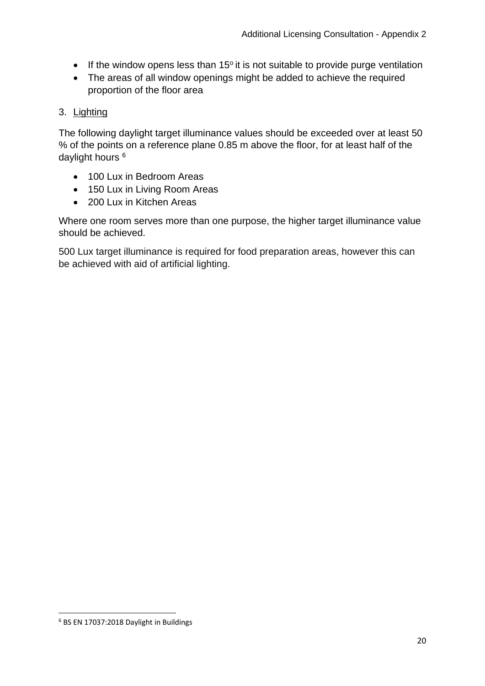- If the window opens less than  $15^\circ$  it is not suitable to provide purge ventilation
- The areas of all window openings might be added to achieve the required proportion of the floor area

# <span id="page-19-0"></span>3. Lighting

The following daylight target illuminance values should be exceeded over at least 50 % of the points on a reference plane 0.85 m above the floor, for at least half of the daylight hours <sup>6</sup>

- 100 Lux in Bedroom Areas
- 150 Lux in Living Room Areas
- 200 Lux in Kitchen Areas

Where one room serves more than one purpose, the higher target illuminance value should be achieved.

500 Lux target illuminance is required for food preparation areas, however this can be achieved with aid of artificial lighting.

<sup>6</sup> BS EN 17037:2018 Daylight in Buildings